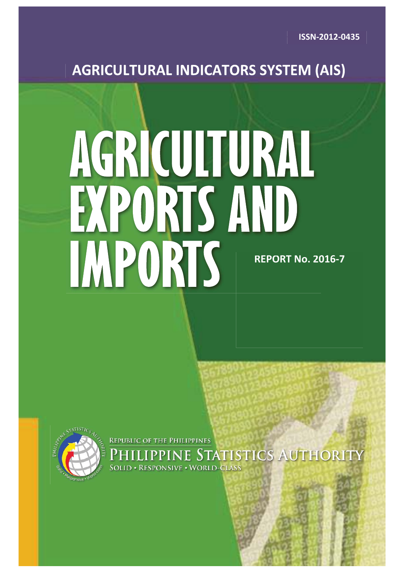# **AGRICULTURAL INDICATORS SYSTEM (AIS)**

# AGRICULTURAL PORTS AND **IMPORTS REPORT No. 2016-7 20**



**REPUBLIC OF THE PHILIPPINES IPPINE STATISTICS AUTHORITY** D . RESPONSIVE . WORLD-CLASS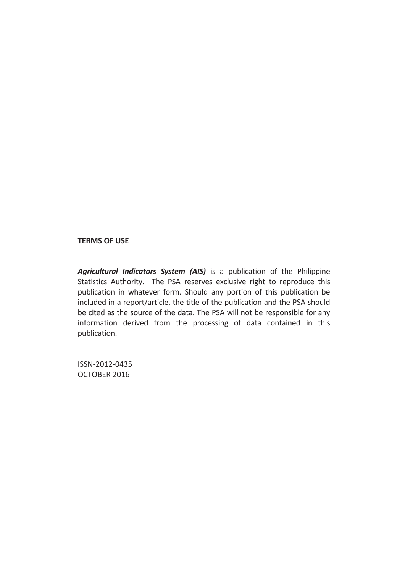#### **TERMS OF USE**

*Agricultural Indicators System (AIS)* is a publication of the Philippine Statistics Authority. The PSA reserves exclusive right to reproduce this publication in whatever form. Should any portion of this publication be included in a report/article, the title of the publication and the PSA should be cited as the source of the data. The PSA will not be responsible for any information derived from the processing of data contained in this publication.

ISSN-2012-0435 OCTOBER 2016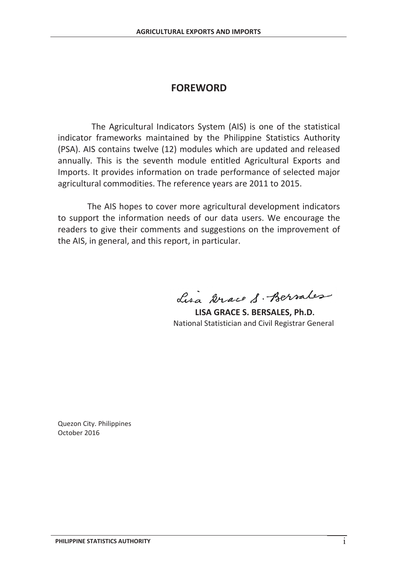# **FOREWORD**

The Agricultural Indicators System (AIS) is one of the statistical indicator frameworks maintained by the Philippine Statistics Authority (PSA). AIS contains twelve (12) modules which are updated and released annually. This is the seventh module entitled Agricultural Exports and Imports. It provides information on trade performance of selected major agricultural commodities. The reference years are 2011 to 2015.

The AIS hopes to cover more agricultural development indicators to support the information needs of our data users. We encourage the readers to give their comments and suggestions on the improvement of the AIS, in general, and this report, in particular.

Lisa Grace S. Berrales

 **LISA GRACE S. BERSALES, Ph.D.**  National Statistician and Civil Registrar General

Quezon City. Philippines October 2016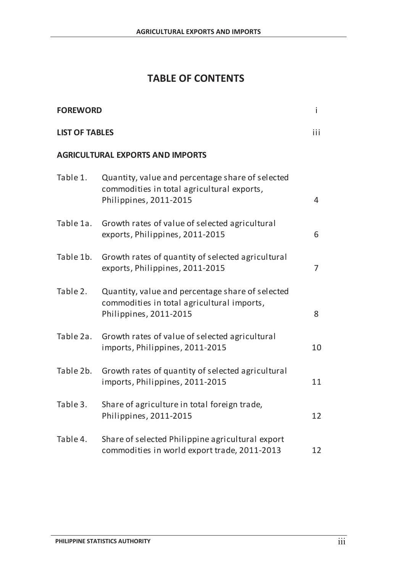# **TABLE OF CONTENTS**

| <b>FOREWORD</b>       |                                                                                                                          | $\mathbf{i}$   |
|-----------------------|--------------------------------------------------------------------------------------------------------------------------|----------------|
| <b>LIST OF TABLES</b> |                                                                                                                          | iii            |
|                       | <b>AGRICULTURAL EXPORTS AND IMPORTS</b>                                                                                  |                |
| Table 1.              | Quantity, value and percentage share of selected<br>commodities in total agricultural exports,<br>Philippines, 2011-2015 | $\overline{4}$ |
| Table 1a.             | Growth rates of value of selected agricultural<br>exports, Philippines, 2011-2015                                        | 6              |
| Table 1b.             | Growth rates of quantity of selected agricultural<br>exports, Philippines, 2011-2015                                     | 7              |
| Table 2.              | Quantity, value and percentage share of selected<br>commodities in total agricultural imports,<br>Philippines, 2011-2015 | 8              |
| Table 2a.             | Growth rates of value of selected agricultural<br>imports, Philippines, 2011-2015                                        | 10             |
| Table 2b.             | Growth rates of quantity of selected agricultural<br>imports, Philippines, 2011-2015                                     | 11             |
| Table 3.              | Share of agriculture in total foreign trade,<br>Philippines, 2011-2015                                                   | 12             |
| Table 4.              | Share of selected Philippine agricultural export<br>commodities in world export trade, 2011-2013                         | 12             |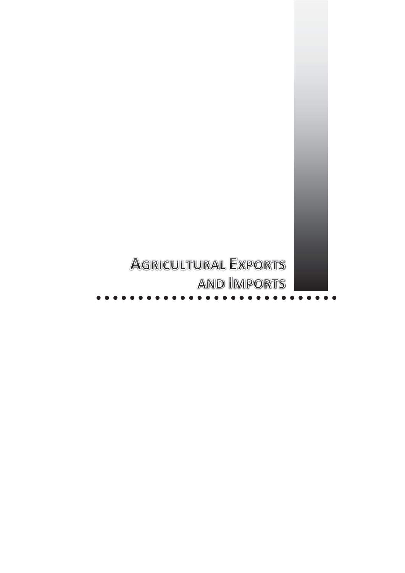# **AGRICULTURAL EXPORTS AND IMPORTS**

 $\bullet\bullet\bullet\bullet\bullet$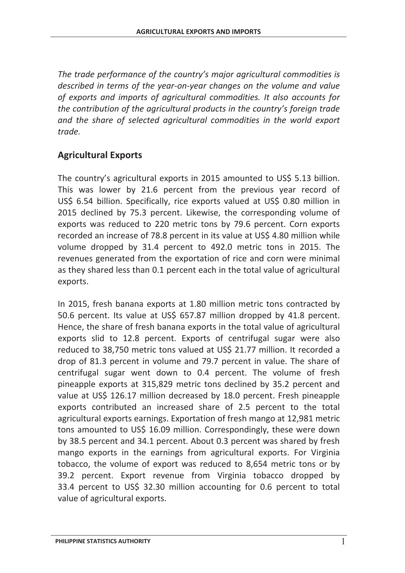*The trade performance of the country's major agricultural commodities is described in terms of the year-on-year changes on the volume and value of exports and imports of agricultural commodities. It also accounts for the contribution of the agricultural products in the country's foreign trade and the share of selected agricultural commodities in the world export trade.* 

# **Agricultural Exports**

The country's agricultural exports in 2015 amounted to US\$ 5.13 billion. This was lower by 21.6 percent from the previous year record of US\$ 6.54 billion. Specifically, rice exports valued at US\$ 0.80 million in 2015 declined by 75.3 percent. Likewise, the corresponding volume of exports was reduced to 220 metric tons by 79.6 percent. Corn exports recorded an increase of 78.8 percent in its value at US\$ 4.80 million while volume dropped by 31.4 percent to 492.0 metric tons in 2015. The revenues generated from the exportation of rice and corn were minimal as they shared less than 0.1 percent each in the total value of agricultural exports.

In 2015, fresh banana exports at 1.80 million metric tons contracted by 50.6 percent. Its value at US\$ 657.87 million dropped by 41.8 percent. Hence, the share of fresh banana exports in the total value of agricultural exports slid to 12.8 percent. Exports of centrifugal sugar were also reduced to 38,750 metric tons valued at US\$ 21.77 million. It recorded a drop of 81.3 percent in volume and 79.7 percent in value. The share of centrifugal sugar went down to 0.4 percent. The volume of fresh pineapple exports at 315,829 metric tons declined by 35.2 percent and value at US\$ 126.17 million decreased by 18.0 percent. Fresh pineapple exports contributed an increased share of 2.5 percent to the total agricultural exports earnings. Exportation of fresh mango at 12,981 metric tons amounted to US\$ 16.09 million. Correspondingly, these were down by 38.5 percent and 34.1 percent. About 0.3 percent was shared by fresh mango exports in the earnings from agricultural exports. For Virginia tobacco, the volume of export was reduced to 8,654 metric tons or by 39.2 percent. Export revenue from Virginia tobacco dropped by 33.4 percent to US\$ 32.30 million accounting for 0.6 percent to total value of agricultural exports.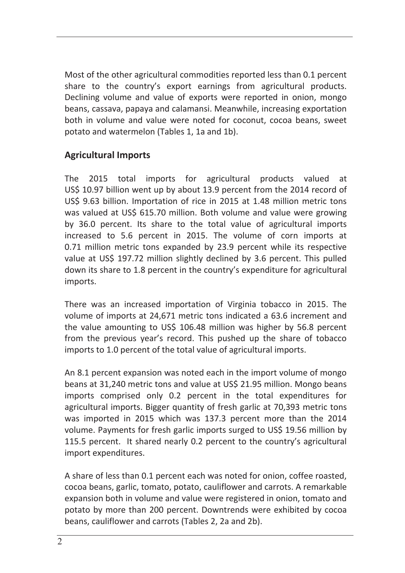share to the country's export earnings from agricultural products.<br>Declining volume and value of synagte were reported in onion monge Most of the other agricultural commodities reported less than 0.1 percent Declining volume and value of exports were reported in onion, mongo beans, cassava, papaya and calamansi. Meanwhile, increasing exportation both in volume and value were noted for coconut, cocoa beans, sweet potato and watermelon (Tables 1, 1a and 1b).

# **Agricultural Imports**

The 2015 total imports for agricultural products valued at US\$ 10.97 billion went up by about 13.9 percent from the 2014 record of US\$ 9.63 billion. Importation of rice in 2015 at 1.48 million metric tons was valued at US\$ 615.70 million. Both volume and value were growing by 36.0 percent. Its share to the total value of agricultural imports increased to 5.6 percent in 2015. The volume of corn imports at 0.71 million metric tons expanded by 23.9 percent while its respective value at US\$ 197.72 million slightly declined by 3.6 percent. This pulled down its share to 1.8 percent in the country's expenditure for agricultural imports.

There was an increased importation of Virginia tobacco in 2015. The volume of imports at 24,671 metric tons indicated a 63.6 increment and the value amounting to US\$ 106.48 million was higher by 56.8 percent from the previous year's record. This pushed up the share of tobacco imports to 1.0 percent of the total value of agricultural imports.

An 8.1 percent expansion was noted each in the import volume of mongo beans at 31,240 metric tons and value at US\$ 21.95 million. Mongo beans imports comprised only 0.2 percent in the total expenditures for agricultural imports. Bigger quantity of fresh garlic at 70,393 metric tons was imported in 2015 which was 137.3 percent more than the 2014 volume. Payments for fresh garlic imports surged to US\$ 19.56 million by 115.5 percent. It shared nearly 0.2 percent to the country's agricultural import expenditures.

A share of less than 0.1 percent each was noted for onion, coffee roasted, cocoa beans, garlic, tomato, potato, cauliflower and carrots. A remarkable expansion both in volume and value were registered in onion, tomato and potato by more than 200 percent. Downtrends were exhibited by cocoa beans, cauliflower and carrots (Tables 2, 2a and 2b).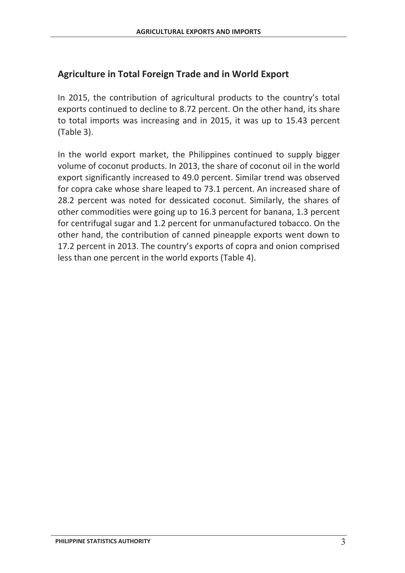# **Agriculture in Total Foreign Trade and in World Export**

In 2015, the contribution of agricultural products to the country's total exports continued to decline to 8.72 percent. On the other hand, its share to total imports was increasing and in 2015, it was up to 15.43 percent (Table 3).

In the world export market, the Philippines continued to supply bigger volume of coconut products. In 2013, the share of coconut oil in the world export significantly increased to 49.0 percent. Similar trend was observed for copra cake whose share leaped to 73.1 percent. An increased share of 28.2 percent was noted for dessicated coconut. Similarly, the shares of other commodities were going up to 16.3 percent for banana, 1.3 percent for centrifugal sugar and 1.2 percent for unmanufactured tobacco. On the other hand, the contribution of canned pineapple exports went down to 17.2 percent in 2013. The country's exports of copra and onion comprised less than one percent in the world exports (Table 4).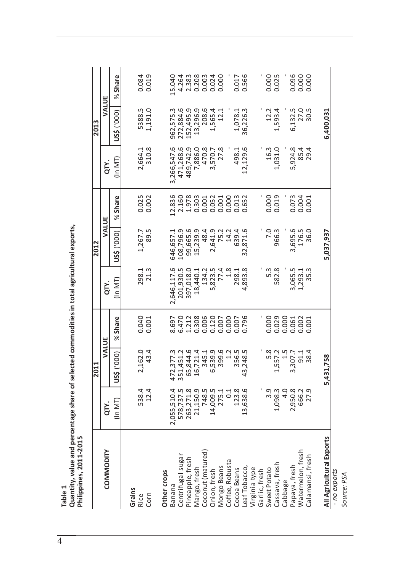|                                                                             |      | QTY.          | $(1n$ MT)                                  |
|-----------------------------------------------------------------------------|------|---------------|--------------------------------------------|
|                                                                             |      |               |                                            |
|                                                                             | 2012 | VALUE         | (In $MT$ )   US\$ ('000)   % Share         |
|                                                                             |      | QTY.          |                                            |
|                                                                             |      |               |                                            |
|                                                                             | 2011 | VALUE         | $(1n$ MT) $ $ US\$ $(000)$ $ $ % Share $ $ |
| and percentage share of selected commodities in total agricultural exports, |      | QTY.          |                                            |
| 11-2015<br>uantity, value<br>lippines, 20<br>Table 1                        |      | NLI<br>COMMOI |                                            |
|                                                                             |      |               |                                            |

|                               |                        | $\Xi$<br>$\overline{20}$                |                    |                 | 2012                    |                          |                          | 2013                                 |                |
|-------------------------------|------------------------|-----------------------------------------|--------------------|-----------------|-------------------------|--------------------------|--------------------------|--------------------------------------|----------------|
| COMMODITY                     | QTY.                   | VALUE                                   |                    | QTY.            | VALUE                   |                          | QTY.                     | VALUE                                |                |
|                               | $(1n$ MT)              | (000)<br>us\$                           | <b>Share</b><br>৯ৎ | $($ In MT $)$   | ('000)<br>US\$          | <b>Share</b><br>$\aleph$ | (ln MT)                  | US\$ ('000)                          | Share<br>ৼ     |
| Grains<br>Corn<br><b>Rice</b> | 538.4<br>12.4          | 2,162.0<br>43.4                         | 0.040<br>0.001     | 21.3<br>298.1   | 89.5<br>1,267.7         | 0.025<br>0.002           | 310.8<br>2,664.1         | 5388.5<br>1,191.0                    | 0.084<br>0.019 |
| Other crops                   |                        |                                         |                    | 2,646,117.6     |                         | 12.836                   |                          |                                      | 15.040         |
| Centrifugal sugar<br>Banana   | 2,055,510.4            | .,377.3<br>.451.2<br>472                | 8.697<br>6.470     | 201,930.5       | 108,796.9<br>646,657.1  | 2.160                    | 3,266,547.6<br>471,268.6 | 962,575.3                            | 4.264          |
| Pineapple, fresh              | 578,737.5<br>263,271.8 | ,844.6<br>351                           |                    | 397,018.0       | 99,665.6                | 1.978                    | 489,742.9                | 272,884.6<br>152,495.9               | 2.383          |
| Mango, fresh                  | 21,150.9               | 16,721.4                                | 1.212<br>0.308     | 18,440.1        | 15,239.9                | 0.303                    | 7,886.0                  | .3,296.9<br>$\overline{\phantom{0}}$ | 0.208          |
| Coconut (matured)             | 748.5                  | 345.1                                   | 0.006              | 134.2           | 48.4                    | 0.001                    | 470.8                    | 208.6                                | 0.003          |
| Onion, fresh                  | 14,009.5               | ,539.9<br>9                             | 0.120              | 5,823.5         |                         | 0.052                    | 3,570.7                  | 1,565.4                              | 0.024          |
| Mongo Beans                   | 275.1                  | 399.6                                   | 0.007              | 77.4            | 2,641.9<br>75.2<br>14.2 | 0.001                    | 27.8                     | 12.1                                 | 0.000          |
| Coffee, Robusta               | $\overline{0}$ :       | 1.2                                     | 0.000              | 1.8             |                         | 0.000                    |                          |                                      |                |
| Cocoa Beans                   | 123.8                  | 356.5                                   | 0.007              | 298.1           | 639.4                   | 0.013                    | 498.1                    | 1,078.1                              | 0.017          |
| Leaf Tobacco,                 | 13,638.6               | ,248.5<br>43                            | 0.796              | 893.8<br>4      | 2,871.6<br>3            | 0.652                    | 12,129.6                 | 36,226.3                             | 0.566          |
| Virginia type                 |                        |                                         |                    |                 |                         |                          |                          |                                      |                |
| Garlic, fresh                 |                        |                                         |                    |                 |                         |                          |                          |                                      |                |
| Sweet Potato                  | 3.9                    | 5.8                                     | 0.000              | 5.3             | 7.0                     | 0.000                    | 16.3                     | 12.2                                 | 0.000          |
| Cassava, fresh                | 1,098.3                | $\tilde{\mathcal{L}}$<br>57.<br>ī,<br>1 | 0.029              | 582.8           | 966.3                   | 0.019                    | 1,031.0                  | 1,593.4                              | 0.025          |
| Cabbage                       | $\frac{0}{4}$          | 1.5                                     | 0.000              |                 |                         |                          |                          |                                      |                |
| Papaya, fresh                 | 2,950.8                | 1,307.7<br>S                            | 0.061              | 3,065.5         | 3,695.6                 | 0.073                    | 5,924.8                  | 6,132.5                              | 0.096          |
| Watermelon, fresh             | 666.2                  | $91.1$<br>38.4                          | 0.002              | 1,293.1         | 176.5                   | 0.004                    | 85.4                     | 27.0                                 | 0.000          |
| Calamansi, fresh              | 27.9                   |                                         | 0.001              | 5.3<br>$\infty$ | 36.0                    | 0.001                    | 29.4                     | 30.5                                 | 0.000          |
|                               |                        |                                         |                    |                 |                         |                          |                          |                                      |                |
| All Agricultural Exports      |                        | 5,431,758                               |                    |                 | 5,037,937               |                          |                          | 6,400,031                            |                |

*- no exports Source: PSA*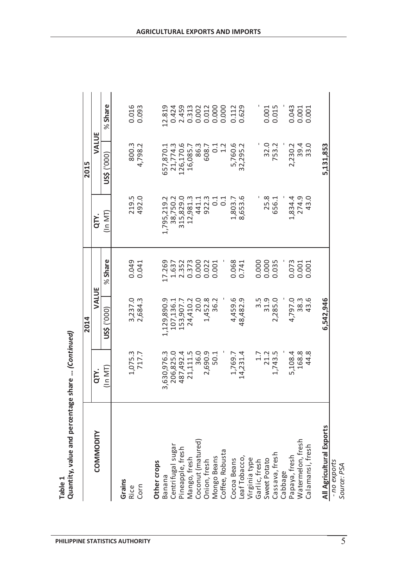|                          |                               | 2014               |                                   |                         | 2015           |                                  |
|--------------------------|-------------------------------|--------------------|-----------------------------------|-------------------------|----------------|----------------------------------|
| <b>COMMODITY</b>         | QTY.                          | VALUE              |                                   | QTY.                    | VALUE          |                                  |
|                          | (In MT)                       | US\$ ('000)        | <b>Share</b><br>৯ৎ                | $(1n$ MT                | (000)<br>US\$  | Share<br>৯ৎ                      |
| Grains                   |                               |                    |                                   |                         |                |                                  |
| <b>Rice</b>              | 1,075.3<br>717.7              |                    | 0.049                             | 219.5<br>492.0          | 800.3          | 0.016                            |
| Corn                     |                               | 3,237.0<br>2,684.3 | 0.041                             |                         | 4,798.2        | 0.093                            |
| Other crops              |                               |                    |                                   |                         |                |                                  |
| Banana                   | 3,630,976.3                   | 1,129,890.9        |                                   |                         | 657,870.1      | .2.819                           |
| Centrifugal sugar        | 206,825.0                     | 107,136.1          |                                   | 1,795,219.2<br>38,750.2 | 21,774.3       | 0.424<br>2.459<br>0.002<br>0.002 |
| Pineapple, fresh         |                               | 153,907.7          |                                   | 315,829.0               | 126,170.6      |                                  |
| Mango, fresh             | 487,492.4<br>21,111.5<br>36.0 | 24,410.2           | 17.269<br>1.637<br>2.352<br>0.373 | 12,981.3                | 16,085.7       |                                  |
| Coconut (matured)        |                               | 20.0               | 0.000                             | 441.1                   | 86.3           |                                  |
| Onion, fresh             | 2,690.9                       | 1,452.8            | 0.022                             | 922.3                   | 608.7          | 0.012                            |
| Mongo Beans              | 50.1                          | 6.2<br>m           | 0.001                             | 0.1                     | $0.1$<br>$1.2$ | 0.000                            |
| Coffee, Robusta          |                               |                    |                                   | C <sub>1</sub>          |                | 0.000                            |
| Cocoa Beans              | 1,769.7                       | 4,459.6            | 0.068                             | 1,803.7                 | 5,760.6        | 0.112                            |
| Leaf Tobacco,            | 14,231.4                      | 48,482.9           | 0.741                             | 8,653.6                 | 32,295.2       | 0.629                            |
| Virginia type            |                               |                    |                                   |                         |                |                                  |
| Garlic, fresh            | $\ddot{1}$                    |                    | 0.000                             |                         | ı              |                                  |
| Sweet Potato             | 21.2                          | $3.5$<br>31.9      | 0.000                             | 25.8                    | 32.0           | 0.001                            |
| Cassava, fresh           | 1,743.5                       | 2,285.0            | 0.035                             | 656.1                   | 753.2          | 0.015                            |
| Cabbage                  |                               |                    |                                   |                         |                |                                  |
| Papaya, fresh            | 5,108.4                       | 4,797.0            | 0.073                             | 1,834.4                 | 2,230.2        | 0.043                            |
| Watermelon, fresh        | 168.8                         | $38.6$<br>43.6     | 0.001                             | 274.9                   | 39.0<br>33.0   | 0.001                            |
| Calamansi, fresh         | 44.8                          | $3.\overline{6}$   | 0.001                             | O.<br>43                |                | 0.001                            |
| All Agricultural Exports |                               | 6,542,946          |                                   |                         | 5,131,853      |                                  |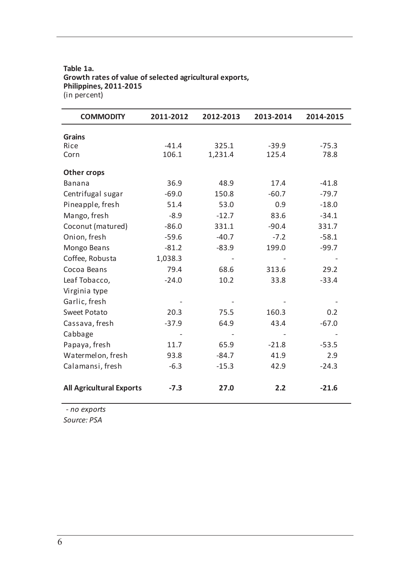#### **Table 1a. Growth rates of value of selected agricultural exports, Philippines, 2011-2015** (in percent)

| <b>COMMODITY</b>                | 2011-2012 | 2012-2013 | 2013-2014 | 2014-2015 |
|---------------------------------|-----------|-----------|-----------|-----------|
| <b>Grains</b>                   |           |           |           |           |
| Rice                            | $-41.4$   | 325.1     | $-39.9$   | $-75.3$   |
| Corn                            | 106.1     | 1,231.4   | 125.4     | 78.8      |
| Other crops                     |           |           |           |           |
| Banana                          | 36.9      | 48.9      | 17.4      | $-41.8$   |
| Centrifugal sugar               | $-69.0$   | 150.8     | $-60.7$   | $-79.7$   |
| Pineapple, fresh                | 51.4      | 53.0      | 0.9       | $-18.0$   |
| Mango, fresh                    | $-8.9$    | $-12.7$   | 83.6      | $-34.1$   |
| Coconut (matured)               | $-86.0$   | 331.1     | $-90.4$   | 331.7     |
| Onion, fresh                    | $-59.6$   | $-40.7$   | $-7.2$    | $-58.1$   |
| Mongo Beans                     | $-81.2$   | $-83.9$   | 199.0     | $-99.7$   |
| Coffee, Robusta                 | 1,038.3   |           |           |           |
| Cocoa Beans                     | 79.4      | 68.6      | 313.6     | 29.2      |
| Leaf Tobacco,                   | $-24.0$   | 10.2      | 33.8      | $-33.4$   |
| Virginia type                   |           |           |           |           |
| Garlic, fresh                   |           |           |           |           |
| Sweet Potato                    | 20.3      | 75.5      | 160.3     | 0.2       |
| Cassava, fresh                  | $-37.9$   | 64.9      | 43.4      | $-67.0$   |
| Cabbage                         |           |           |           |           |
| Papaya, fresh                   | 11.7      | 65.9      | $-21.8$   | $-53.5$   |
| Watermelon, fresh               | 93.8      | $-84.7$   | 41.9      | 2.9       |
| Calamansi, fresh                | $-6.3$    | $-15.3$   | 42.9      | $-24.3$   |
| <b>All Agricultural Exports</b> | $-7.3$    | 27.0      | 2.2       | $-21.6$   |

*- no exports*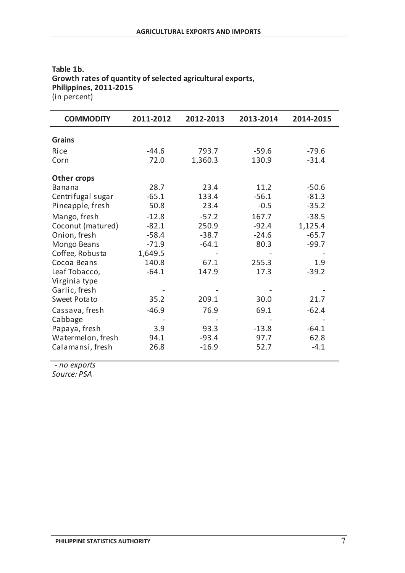| <b>COMMODITY</b>  | 2011-2012 | 2012-2013 | 2013-2014 | 2014-2015 |
|-------------------|-----------|-----------|-----------|-----------|
| <b>Grains</b>     |           |           |           |           |
|                   |           |           |           |           |
| Rice              | $-44.6$   | 793.7     | $-59.6$   | $-79.6$   |
| Corn              | 72.0      | 1,360.3   | 130.9     | $-31.4$   |
| Other crops       |           |           |           |           |
| <b>Banana</b>     | 28.7      | 23.4      | 11.2      | $-50.6$   |
| Centrifugal sugar | $-65.1$   | 133.4     | $-56.1$   | $-81.3$   |
| Pineapple, fresh  | 50.8      | 23.4      | $-0.5$    | $-35.2$   |
|                   |           |           |           |           |
| Mango, fresh      | $-12.8$   | $-57.2$   | 167.7     | $-38.5$   |
| Coconut (matured) | $-82.1$   | 250.9     | $-92.4$   | 1,125.4   |
| Onion, fresh      | $-58.4$   | $-38.7$   | $-24.6$   | $-65.7$   |
| Mongo Beans       | $-71.9$   | $-64.1$   | 80.3      | $-99.7$   |
| Coffee, Robusta   | 1,649.5   |           |           |           |
| Cocoa Beans       | 140.8     | 67.1      | 255.3     | 1.9       |
| Leaf Tobacco,     | $-64.1$   | 147.9     | 17.3      | $-39.2$   |
| Virginia type     |           |           |           |           |
| Garlic, fresh     |           |           |           |           |
| Sweet Potato      | 35.2      | 209.1     | 30.0      | 21.7      |
| Cassava, fresh    | $-46.9$   | 76.9      | 69.1      | $-62.4$   |
| Cabbage           |           |           |           |           |
| Papaya, fresh     | 3.9       | 93.3      | $-13.8$   | $-64.1$   |
| Watermelon, fresh | 94.1      | $-93.4$   | 97.7      | 62.8      |
| Calamansi, fresh  | 26.8      | $-16.9$   | 52.7      | $-4.1$    |
|                   |           |           |           |           |

#### **Philippines, 2011-2015 Table 1b. Growth rates of quantity of selected agricultural exports,** (in percent)

*- no exports*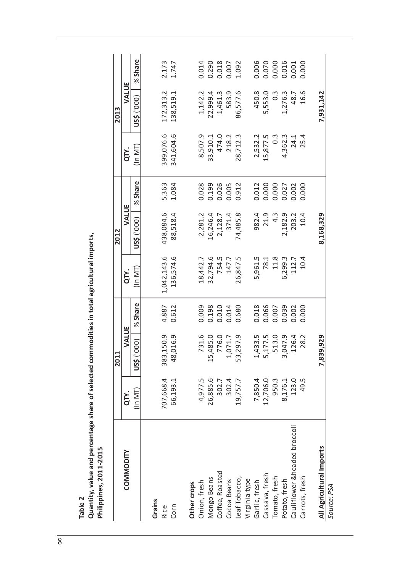| N      |  |
|--------|--|
| ω      |  |
| г      |  |
| σ<br>۰ |  |
|        |  |

Quantity, value and percentage share of selected commodities in total agricultural imports,<br>Philippines, 2011-2015 **Quantity, value and percentage share of selected commodities in total agricultural imports, Philippines, 2011-2015**

|                              |           | 2011           |         |             | 2012             |         |               | 2013          |         |
|------------------------------|-----------|----------------|---------|-------------|------------------|---------|---------------|---------------|---------|
| <b>COMMODITY</b>             | QTY.      | VALUE          |         | QTY.        | VALUE            |         | QT.           | VALUE         |         |
|                              | $(1n$ MT  | (1000)<br>us\$ | % Share | (In MT)     | US\$ ('000)      | % Share | $(1n$ MT      | US\$ ('000)   | % Share |
|                              |           |                |         |             |                  |         |               |               |         |
| Grains                       |           |                |         |             |                  |         |               |               |         |
| <b>Rice</b>                  | 707,668.4 | 383,150.9      | 4.887   | 1,042,143.6 | 438,084.6        | 5.363   | 399,076.6     | 172,313.2     | 2.173   |
| Corn                         | 66,193.1  | 48,016.9       | 0.612   | 136,574.6   | 88,518.4         | 1.084   | 341,604.6     | 138,519.1     | 1.747   |
| Other crops                  |           |                |         |             |                  |         |               |               |         |
|                              |           |                |         |             |                  |         |               |               |         |
| Onion, fresh                 | 4,977.5   | 731.6          | 0.009   | 18,442.7    | 2,281.2          | 0.028   | 8,507.9       | 1, 142.2      | 0.014   |
| Mongo Beans                  | 26,885.6  | 5,485.0        | 0.198   | 32,794.6    | 16,246.4         | 0.199   | 33,910.1      | 22,999.4      | 0.290   |
| Coffee, Roasted              | 302.7     | 776.0          | 0.010   | 754.5       | 2,128.7          | 0.026   | 474.0         | 1,461.3       | 0.018   |
| Cocoa Beans                  | 302.4     | 1,071.7        | 0.014   | 147.7       | 371.4            | 0.005   | 218.2         | 583.9         | 0.007   |
| Leaf Tobacco,                | 19,757.7  | 53,297.9       | 0.680   | 26,847.5    | 74,485.8         | 0.912   | 28,712.3      | 86,577.6      | 1.092   |
| Virginia type                |           |                |         |             |                  |         |               |               |         |
| Garlic, fresh                | 7,850.4   | 1,433.5        | 0.018   | 5,961.5     | 982.4            | 0.012   | 2,532.2       | 450.8         | 0.006   |
| Cassava, fresh               | 12,706.0  | 5,177.5        | 0.066   | 78.1        | 21.9             | 0.000   | 15,877.5      | 5,553.0       | 0.070   |
| Tomato, fresh                | 950.3     | 513.0          | 0.007   | 11.8        | $4.\overline{3}$ | 0.000   | $\frac{3}{2}$ | $\frac{3}{2}$ | 0.000   |
| Potato, fresh                | 8,176.1   | 3,047.9        | 0.039   | 6,299.3     | 2,182.9          | 0.027   | 4,362.3       | 1,276.3       | 0.016   |
| Cauliflower &headed broccoli | 123.0     | 126.4          | 0.002   | 112.7       | 203.2            | 0.002   | 24.1          | 48.7          | 0.001   |
| Carrots, fresh               | 49.5      | 28.2           | 0.000   | 10.4        | 10.4             | 0.000   | 25.4          | 16.6          | 0.000   |
| All Agricultural Imports     |           | 39,929         |         |             | 8,168,329        |         |               | 7,931,142     |         |
| Source: PSA                  |           |                |         |             |                  |         |               |               |         |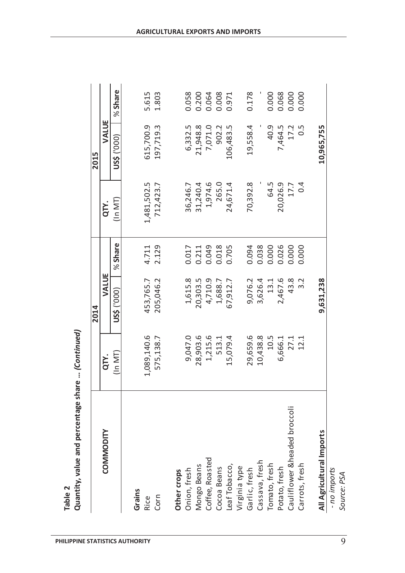|                              |             | 2014        |         |             | 2015             |         |
|------------------------------|-------------|-------------|---------|-------------|------------------|---------|
| COMMODITY                    | QTY.        | VALUE       |         | QTY.        | VALUE            |         |
|                              | $(ln$ MT    | US\$ ('000) | % Share | (In MT)     | US\$ ('000)      | % Share |
| Grains                       |             |             |         |             |                  |         |
| Rice                         | 1,089,140.6 | 453,765.7   | 4.711   | 1,481,502.5 | 615,700.9        | 5.615   |
| Corn                         | 575,138.7   | 205,046.2   | 2.129   | 712,423.7   | 197,719.3        | 1.803   |
| Other crops                  |             |             |         |             |                  |         |
| Onion, fresh                 | 9,047.0     | 1,615.8     | 0.017   | 36,246.7    | 6,332.5          | 0.058   |
| Mongo Beans                  | 28,903.6    | 20,303.5    | 0.211   | 31,240.4    | 21,948.8         | 0.200   |
| Coffee, Roasted              | 1,215.6     | 4,710.9     | 0.049   | 1,974.6     | 7,071.0          | 0.064   |
| Cocoa Beans                  | 513.1       | 1,688.7     | 0.018   | 265.0       | 902.2            | 0.008   |
| Leaf Tobacco,                | 15,079.4    | 67,912.7    | 0.705   | 24,671.4    | 106,483.5        | 0.971   |
| Virginia type                |             |             |         |             |                  |         |
| Garlic, fresh                | 29,659.6    | 9,076.2     | 0.094   | 70,392.8    | 19,558.4         | 0.178   |
| Cassava, fresh               | 10,438.8    | 3,626.4     | 0.038   |             |                  |         |
| Tomato, fresh                | 10.5        | 13.1        | 0.000   | 64.5        | 40.9             | 0.000   |
| Potato, fresh                | 6,666.1     | 2,467.6     | 0.026   | 20,026.9    | 7,464.5          | 0.068   |
| Cauliflower &headed broccoli | 27.1        | 43.8        | 0.000   | 17.7        | 17.2             | 0.000   |
| Carrots, fresh               | 12.1        | 3.2         | 0.000   | 0.4         | $0.\overline{5}$ | 0.000   |
|                              |             |             |         |             |                  |         |
| All Agricultural Imports     |             | 9,631,238   |         |             | 10,965,755       |         |

Table 2<br>Quantity, value and percentage share ... *(Continued)* **Quantity, value and percentage share …** *(Continued)*

- no imports<br>Source: PSA *- no imports Source: PSA*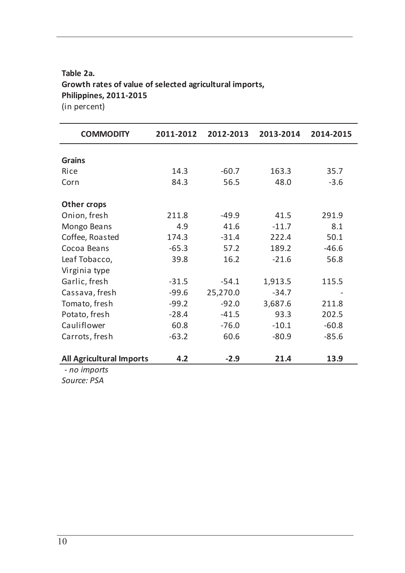### **Table 2a. Growth rates of value of selected agricultural imports, Philippines, 2011-2015** (in percent)

**COMMODITY 2011-2012 2012-2013 2013-2014 2014-2015 Grains** Rice 14.3 -60.7 163.3 35.7 Corn 84.3 56.5 48.0 -3.6 **Other crops** Onion, fresh 211.8 -49.9 41.5 291.9 Mongo Beans 4.9 41.6 -11.7 8.1 Coffee, Roasted 174.3 -31.4 222.4 50.1 Cocoa Beans -65.3 57.2 189.2 -46.6 Leaf Tobacco, 39.8 16.2 -21.6 56.8 Virginia type Garlic, fresh -31.5 -54.1 1,913.5 115.5 Cassava, fresh -99.6 25,270.0 -34.7 Tomato, fresh -99.2 -92.0 3,687.6 211.8 Potato, fresh -28.4 -41.5 93.3 202.5 Cauliflower 60.8 -76.0 -10.1 -60.8 Carrots, fresh -63.2 60.6 -80.9 -85.6 **All Agricultural Imports 4.2 -2.9 21.4 13.9** *- no imports*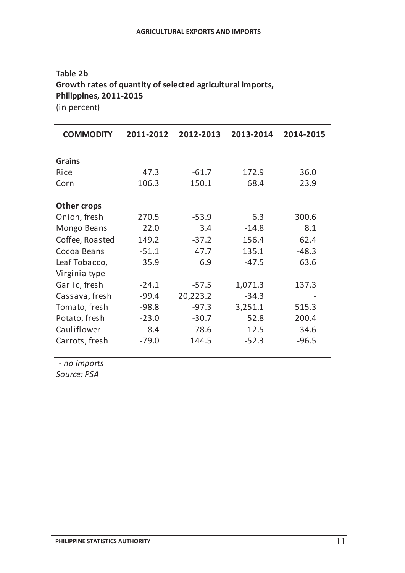# **Table 2b Growth rates of quantity of selected agricultural imports, Philippines, 2011-2015**

(in percent)

| <b>COMMODITY</b>   | 2011-2012 | 2012-2013 | 2013-2014 | 2014-2015 |
|--------------------|-----------|-----------|-----------|-----------|
| <b>Grains</b>      |           |           |           |           |
| Rice               | 47.3      | $-61.7$   | 172.9     | 36.0      |
|                    |           |           |           |           |
| Corn               | 106.3     | 150.1     | 68.4      | 23.9      |
| <b>Other crops</b> |           |           |           |           |
| Onion, fresh       | 270.5     | $-53.9$   | 6.3       | 300.6     |
| Mongo Beans        | 22.0      | 3.4       | $-14.8$   | 8.1       |
| Coffee, Roasted    | 149.2     | $-37.2$   | 156.4     | 62.4      |
| Cocoa Beans        | $-51.1$   | 47.7      | 135.1     | $-48.3$   |
| Leaf Tobacco,      | 35.9      | 6.9       | $-47.5$   | 63.6      |
| Virginia type      |           |           |           |           |
| Garlic, fresh      | $-24.1$   | $-57.5$   | 1,071.3   | 137.3     |
| Cassava, fresh     | $-99.4$   | 20,223.2  | $-34.3$   |           |
| Tomato, fresh      | $-98.8$   | $-97.3$   | 3,251.1   | 515.3     |
| Potato, fresh      | $-23.0$   | $-30.7$   | 52.8      | 200.4     |
| Cauliflower        | $-8.4$    | $-78.6$   | 12.5      | $-34.6$   |
| Carrots, fresh     | $-79.0$   | 144.5     | $-52.3$   | $-96.5$   |

*- no imports*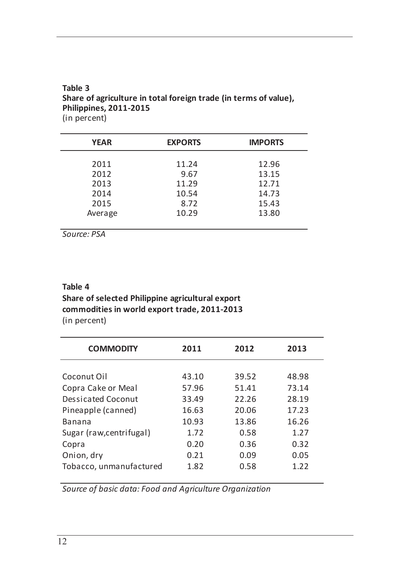#### $\overline{a}$ **Table 3 Share of agriculture in total foreign trade (in terms of value), Philippines, 2011-2015** (in percent)

| <b>YEAR</b>     | <b>EXPORTS</b> | <b>IMPORTS</b> |
|-----------------|----------------|----------------|
| 2011            | 11.24          | 12.96          |
| 2012            | 9.67           | 13.15          |
| 2013            | 11.29          | 12.71          |
| 2014            | 10.54          | 14.73          |
| 2015<br>Average | 8.72<br>10.29  | 15.43<br>13.80 |
|                 |                |                |

*Source: PSA*

## **Table 4 Share of selected Philippine agricultural export commodities in world export trade, 2011-2013** (in percent)

| <b>COMMODITY</b>          | 2011  | 2012  | 2013  |
|---------------------------|-------|-------|-------|
|                           |       |       |       |
| Coconut Oil               | 43.10 | 39.52 | 48.98 |
| Copra Cake or Meal        | 57.96 | 51.41 | 73.14 |
| <b>Dessicated Coconut</b> | 33.49 | 22.26 | 28.19 |
| Pineapple (canned)        | 16.63 | 20.06 | 17.23 |
| <b>Banana</b>             | 10.93 | 13.86 | 16.26 |
| Sugar (raw, centrifugal)  | 1.72  | 0.58  | 1.27  |
| Copra                     | 0.20  | 0.36  | 0.32  |
| Onion, dry                | 0.21  | 0.09  | 0.05  |
| Tobacco, unmanufactured   | 1.82  | 0.58  | 1.22  |
|                           |       |       |       |

*Source of basic data: Food and Agriculture Organization*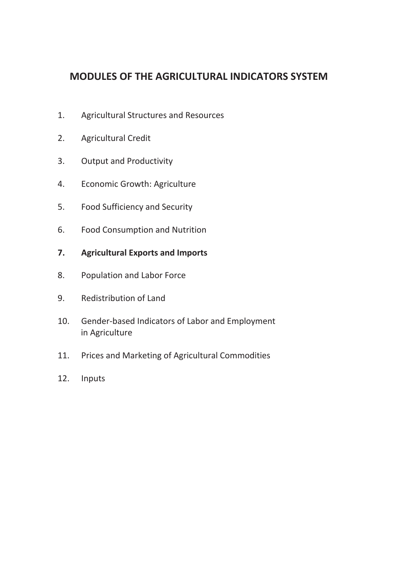# **MODULES OF THE AGRICULTURAL INDICATORS SYSTEM**

- 1. Agricultural Structures and Resources
- 2. Agricultural Credit
- 3. Output and Productivity
- 4. Economic Growth: Agriculture
- 5. Food Sufficiency and Security
- 6. Food Consumption and Nutrition
- **7. Agricultural Exports and Imports**
- 8. Population and Labor Force
- 9. Redistribution of Land
- 10. Gender-based Indicators of Labor and Employment in Agriculture
- 11. Prices and Marketing of Agricultural Commodities
- 12. Inputs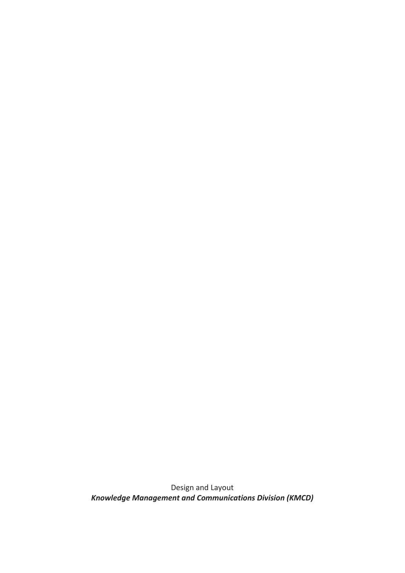Design and Layout *Knowledge Management and Communications Division (KMCD)*